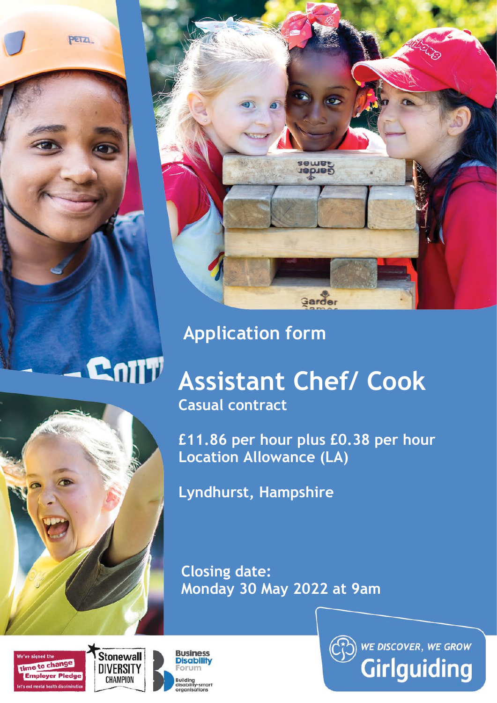PETZI.



# **Application form**

# **Assistant Chef/ Cook**

**Casual contract**

**£11.86 per hour plus £0.38 per hour Location Allowance (LA)** 

**Lyndhurst, Hampshire**

**Closing date: Monday 30 May 2022 at 9am** 





Cniit



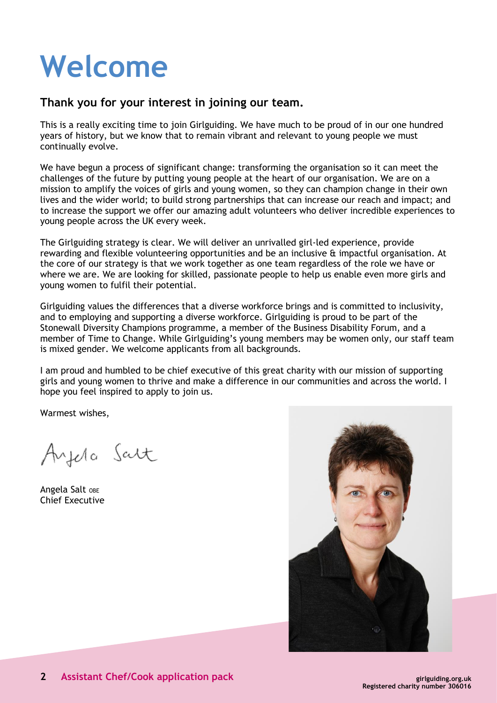# **Welcome**

# **Thank you for your interest in joining our team.**

This is a really exciting time to join Girlguiding. We have much to be proud of in our one hundred years of history, but we know that to remain vibrant and relevant to young people we must continually evolve.

We have begun a process of significant change: transforming the organisation so it can meet the challenges of the future by putting young people at the heart of our organisation. We are on a mission to amplify the voices of girls and young women, so they can champion change in their own lives and the wider world; to build strong partnerships that can increase our reach and impact; and to increase the support we offer our amazing adult volunteers who deliver incredible experiences to young people across the UK every week.

The Girlguiding strategy is clear. We will deliver an unrivalled girl-led experience, provide rewarding and flexible volunteering opportunities and be an inclusive & impactful organisation. At the core of our strategy is that we work together as one team regardless of the role we have or where we are. We are looking for skilled, passionate people to help us enable even more girls and young women to fulfil their potential.

Girlguiding values the differences that a diverse workforce brings and is committed to inclusivity, and to employing and supporting a diverse workforce. Girlguiding is proud to be part of the Stonewall Diversity Champions programme, a member of the Business Disability Forum, and a member of Time to Change. While Girlguiding's young members may be women only, our staff team is mixed gender. We welcome applicants from all backgrounds.

I am proud and humbled to be chief executive of this great charity with our mission of supporting girls and young women to thrive and make a difference in our communities and across the world. I hope you feel inspired to apply to join us.

Warmest wishes,

Ayela Salt

Angela Salt OBE Chief Executive

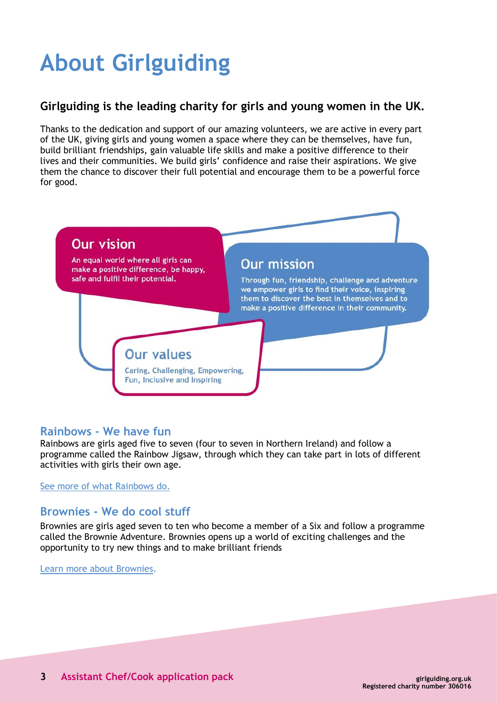# **About Girlguiding**

# **Girlguiding is the leading charity for girls and young women in the UK.**

Thanks to the dedication and support of our amazing volunteers, we are active in every part of the UK, giving girls and young women a space where they can be themselves, have fun, build brilliant friendships, gain valuable life skills and make a positive difference to their lives and their communities. We build girls' confidence and raise their aspirations. We give them the chance to discover their full potential and encourage them to be a powerful force for good.



# **Rainbows - We have fun**

Rainbows are girls aged five to seven (four to seven in Northern Ireland) and follow a programme called the Rainbow Jigsaw, through which they can take part in lots of different activities with girls their own age.

See more of [what Rainbows do.](http://www.girlguiding.org.uk/about_us/what_do_girls_in_guiding_do/rainbows.aspx)

# **Brownies - We do cool stuff**

Brownies are girls aged seven to ten who become a member of a Six and follow a programme called the Brownie Adventure. Brownies opens up a world of exciting challenges and the opportunity to try new things and to make brilliant friends

[Learn more about Brownies](http://www.girlguiding.org.uk/about_us/what_do_girls_in_guiding_do/brownies.aspx).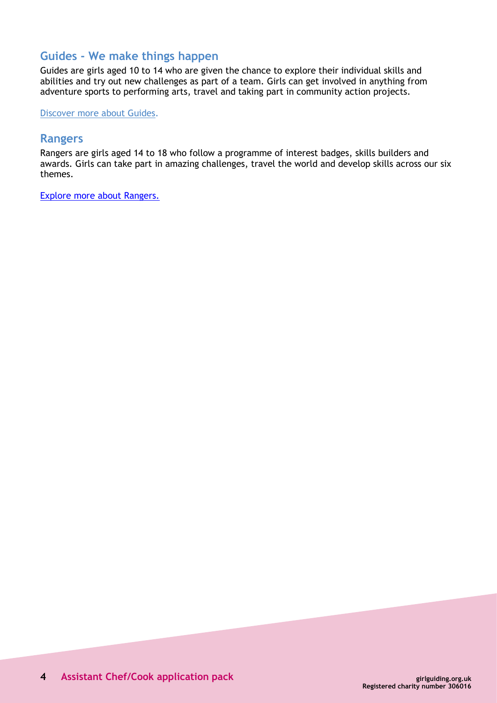# **Guides - We make things happen**

Guides are girls aged 10 to 14 who are given the chance to explore their individual skills and abilities and try out new challenges as part of a team. Girls can get involved in anything from adventure sports to performing arts, travel and taking part in community action projects.

[Discover more about Guides.](http://www.girlguiding.org.uk/about_us/what_do_girls_in_guiding_do/guides.aspx)

#### **Rangers**

Rangers are girls aged 14 to 18 who follow a programme of interest badges, skills builders and awards. Girls can take part in amazing challenges, travel the world and develop skills across our six themes.

[Explore more about Rangers.](https://www.girlguiding.org.uk/what-we-do/rangers/all-about-rangers/)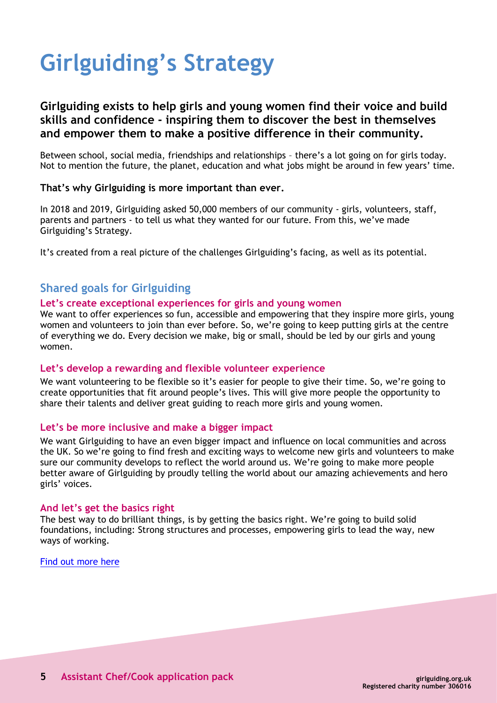# **Girlguiding's Strategy**

# **Girlguiding exists to help girls and young women find their voice and build skills and confidence - inspiring them to discover the best in themselves and empower them to make a positive difference in their community.**

Between school, social media, friendships and relationships – there's a lot going on for girls today. Not to mention the future, the planet, education and what jobs might be around in few years' time.

#### **That's why Girlguiding is more important than ever.**

In 2018 and 2019, Girlguiding asked 50,000 members of our community - girls, volunteers, staff, parents and partners - to tell us what they wanted for our future. From this, we've made Girlguiding's Strategy.

It's created from a real picture of the challenges Girlguiding's facing, as well as its potential.

# **Shared goals for Girlguiding**

#### **Let's create exceptional experiences for girls and young women**

We want to offer experiences so fun, accessible and empowering that they inspire more girls, young women and volunteers to join than ever before. So, we're going to keep putting girls at the centre of everything we do. Every decision we make, big or small, should be led by our girls and young women.

#### **Let's develop a rewarding and flexible volunteer experience**

We want volunteering to be flexible so it's easier for people to give their time. So, we're going to create opportunities that fit around people's lives. This will give more people the opportunity to share their talents and deliver great guiding to reach more girls and young women.

#### **Let's be more inclusive and make a bigger impact**

We want Girlguiding to have an even bigger impact and influence on local communities and across the UK. So we're going to find fresh and exciting ways to welcome new girls and volunteers to make sure our community develops to reflect the world around us. We're going to make more people better aware of Girlguiding by proudly telling the world about our amazing achievements and hero girls' voices.

#### **And let's get the basics right**

The best way to do brilliant things, is by getting the basics right. We're going to build solid foundations, including: Strong structures and processes, empowering girls to lead the way, new ways of working.

[Find out more here](https://www.girlguiding.org.uk/about-us/girlguidings-strategy/)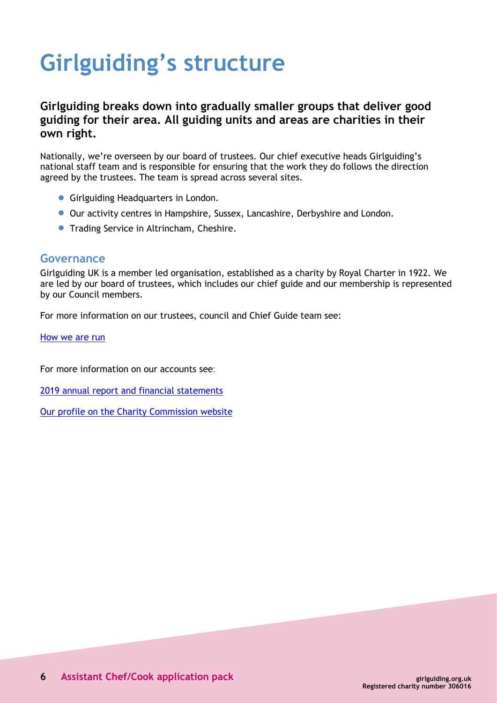# **Girlguiding's structure**

# **Girlguiding breaks down into gradually smaller groups that deliver good guiding for their area. All guiding units and areas are charities in their own right.**

Nationally, we're overseen by our board of trustees. Our chief executive heads Girlguiding's national staff team and is responsible for ensuring that the work they do follows the direction agreed by the trustees. The team is spread across several sites.

- **Girlguiding Headquarters in London.**
- Our activity centres in Hampshire, Sussex, Lancashire, Derbyshire and London.
- **Trading Service in Altrincham, Cheshire.**

### **Governance**

Girlguiding UK is a member led organisation, established as a charity by Royal Charter in 1922. We are led by our board of trustees, which includes our chief guide and our membership is represented by our Council members.

For more information on our trustees, council and Chief Guide team see:

[How we are run](https://www.girlguiding.org.uk/about-us/our-organisation/how-girlguiding-is-run/)

For more information on our accounts see:

2019 annual report and financial [statements](https://www.girlguiding.org.uk/globalassets/docs-and-resources/quality-and-compliance/annual-report-2019.pdf)

Our profile on the Charity [Commission](http://www.charitycommission.gov.uk/search-for-a-charity/?txt=306016) website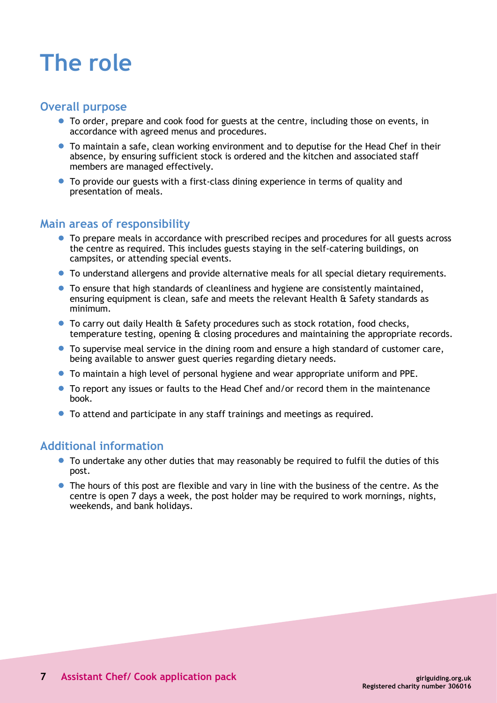# **The role**

# **Overall purpose**

- To order, prepare and cook food for guests at the centre, including those on events, in accordance with agreed menus and procedures.
- To maintain a safe, clean working environment and to deputise for the Head Chef in their absence, by ensuring sufficient stock is ordered and the kitchen and associated staff members are managed effectively.
- To provide our guests with a first-class dining experience in terms of quality and presentation of meals.

# **Main areas of responsibility**

- To prepare meals in accordance with prescribed recipes and procedures for all guests across the centre as required. This includes guests staying in the self-catering buildings, on campsites, or attending special events.
- To understand allergens and provide alternative meals for all special dietary requirements.
- To ensure that high standards of cleanliness and hygiene are consistently maintained, ensuring equipment is clean, safe and meets the relevant Health & Safety standards as minimum.
- To carry out daily Health & Safety procedures such as stock rotation, food checks, temperature testing, opening & closing procedures and maintaining the appropriate records.
- To supervise meal service in the dining room and ensure a high standard of customer care, being available to answer guest queries regarding dietary needs.
- To maintain a high level of personal hygiene and wear appropriate uniform and PPE.
- To report any issues or faults to the Head Chef and/or record them in the maintenance book.
- To attend and participate in any staff trainings and meetings as required.

# **Additional information**

- To undertake any other duties that may reasonably be required to fulfil the duties of this post.
- The hours of this post are flexible and vary in line with the business of the centre. As the centre is open 7 days a week, the post holder may be required to work mornings, nights, weekends, and bank holidays.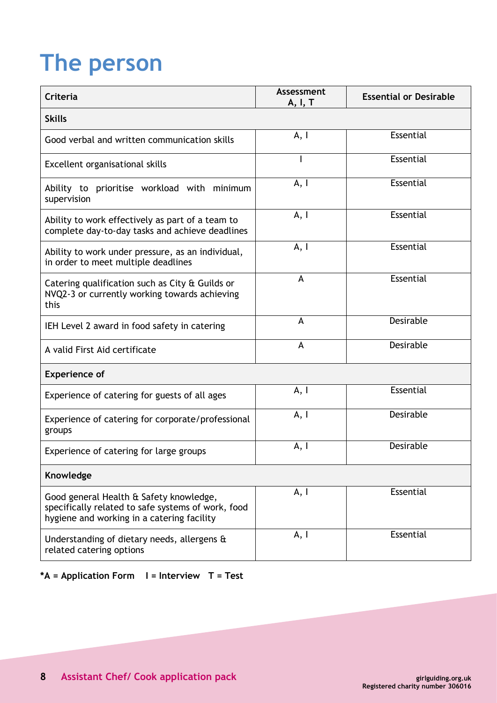# **The person**

| <b>Criteria</b>                                                                                                                             | <b>Assessment</b><br>A, I, T | <b>Essential or Desirable</b> |
|---------------------------------------------------------------------------------------------------------------------------------------------|------------------------------|-------------------------------|
| <b>Skills</b>                                                                                                                               |                              |                               |
| Good verbal and written communication skills                                                                                                | A, I                         | Essential                     |
| Excellent organisational skills                                                                                                             |                              | Essential                     |
| Ability to prioritise workload with minimum<br>supervision                                                                                  | A, I                         | Essential                     |
| Ability to work effectively as part of a team to<br>complete day-to-day tasks and achieve deadlines                                         | A, I                         | Essential                     |
| Ability to work under pressure, as an individual,<br>in order to meet multiple deadlines                                                    | A, I                         | <b>Essential</b>              |
| Catering qualification such as City & Guilds or<br>NVQ2-3 or currently working towards achieving<br>this                                    | A                            | Essential                     |
| IEH Level 2 award in food safety in catering                                                                                                | A                            | Desirable                     |
| A valid First Aid certificate                                                                                                               | A                            | Desirable                     |
| <b>Experience of</b>                                                                                                                        |                              |                               |
| Experience of catering for guests of all ages                                                                                               | A, I                         | Essential                     |
| Experience of catering for corporate/professional<br>groups                                                                                 | A, I                         | Desirable                     |
| Experience of catering for large groups                                                                                                     | A, I                         | Desirable                     |
| Knowledge                                                                                                                                   |                              |                               |
| Good general Health & Safety knowledge,<br>specifically related to safe systems of work, food<br>hygiene and working in a catering facility | A, I                         | Essential                     |
| Understanding of dietary needs, allergens &<br>related catering options                                                                     | A, I                         | Essential                     |

**\*A = Application Form I = Interview T = Test**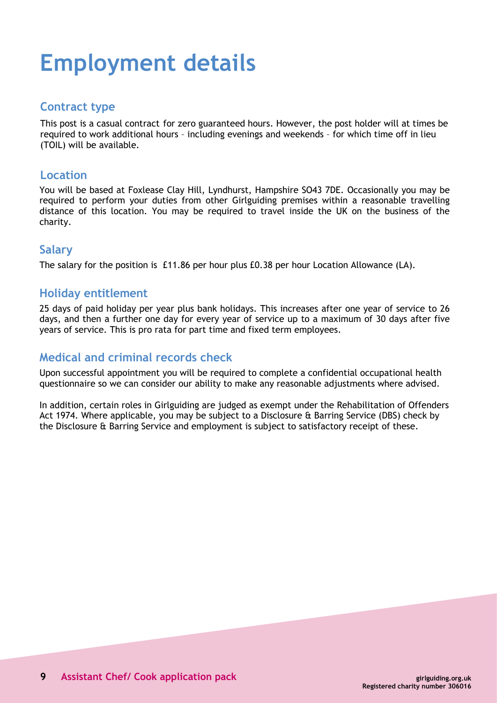# **Employment details**

## **Contract type**

This post is a casual contract for zero guaranteed hours. However, the post holder will at times be required to work additional hours – including evenings and weekends – for which time off in lieu (TOIL) will be available.

### **Location**

You will be based at Foxlease Clay Hill, Lyndhurst, Hampshire SO43 7DE. Occasionally you may be required to perform your duties from other Girlguiding premises within a reasonable travelling distance of this location. You may be required to travel inside the UK on the business of the charity.

## **Salary**

The salary for the position is £11.86 per hour plus £0.38 per hour Location Allowance (LA).

# **Holiday entitlement**

25 days of paid holiday per year plus bank holidays. This increases after one year of service to 26 days, and then a further one day for every year of service up to a maximum of 30 days after five years of service. This is pro rata for part time and fixed term employees.

# **Medical and criminal records check**

Upon successful appointment you will be required to complete a confidential occupational health questionnaire so we can consider our ability to make any reasonable adjustments where advised.

In addition, certain roles in Girlguiding are judged as exempt under the Rehabilitation of Offenders Act 1974. Where applicable, you may be subject to a Disclosure & Barring Service (DBS) check by the Disclosure & Barring Service and employment is subject to satisfactory receipt of these.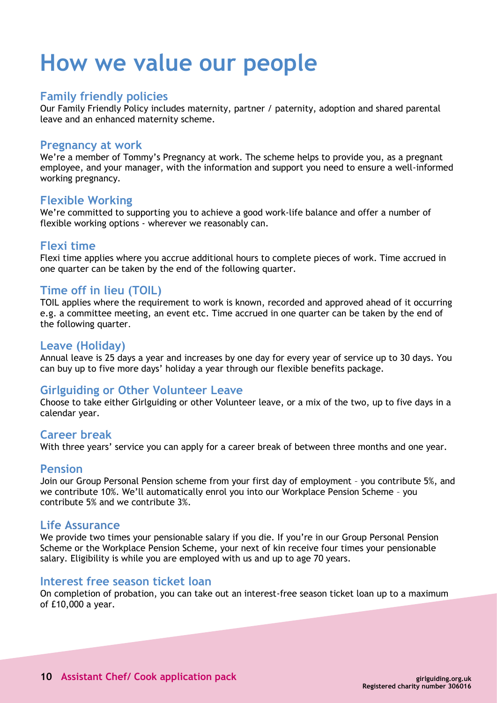# **How we value our people**

## **Family friendly policies**

Our Family Friendly Policy includes maternity, partner / paternity, adoption and shared parental leave and an enhanced maternity scheme.

#### **Pregnancy at work**

We're a member of Tommy's Pregnancy at work. The scheme helps to provide you, as a pregnant employee, and your manager, with the information and support you need to ensure a well-informed working pregnancy.

### **Flexible Working**

We're committed to supporting you to achieve a good work-life balance and offer a number of flexible working options - wherever we reasonably can.

## **Flexi time**

Flexi time applies where you accrue additional hours to complete pieces of work. Time accrued in one quarter can be taken by the end of the following quarter.

## **Time off in lieu (TOIL)**

TOIL applies where the requirement to work is known, recorded and approved ahead of it occurring e.g. a committee meeting, an event etc. Time accrued in one quarter can be taken by the end of the following quarter.

### **Leave (Holiday)**

Annual leave is 25 days a year and increases by one day for every year of service up to 30 days. You can buy up to five more days' holiday a year through our flexible benefits package.

# **Girlguiding or Other Volunteer Leave**

Choose to take either Girlguiding or other Volunteer leave, or a mix of the two, up to five days in a calendar year.

### **Career break**

With three years' service you can apply for a career break of between three months and one year.

#### **Pension**

Join our Group Personal Pension scheme from your first day of employment – you contribute 5%, and we contribute 10%. We'll automatically enrol you into our Workplace Pension Scheme – you contribute 5% and we contribute 3%.

#### **Life Assurance**

We provide two times your pensionable salary if you die. If you're in our Group Personal Pension Scheme or the Workplace Pension Scheme, your next of kin receive four times your pensionable salary. Eligibility is while you are employed with us and up to age 70 years.

### **Interest free season ticket loan**

On completion of probation, you can take out an interest-free season ticket loan up to a maximum of £10,000 a year.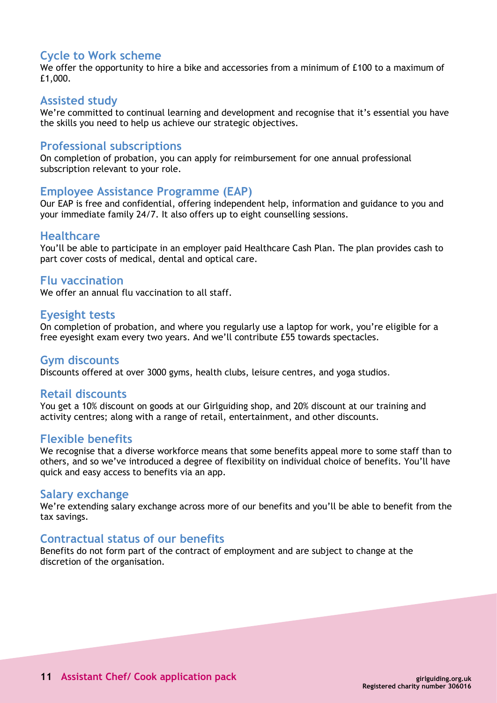# **Cycle to Work scheme**

We offer the opportunity to hire a bike and accessories from a minimum of £100 to a maximum of £1,000.

#### **Assisted study**

We're committed to continual learning and development and recognise that it's essential you have the skills you need to help us achieve our strategic objectives.

### **Professional subscriptions**

On completion of probation, you can apply for reimbursement for one annual professional subscription relevant to your role.

#### **Employee Assistance Programme (EAP)**

Our EAP is free and confidential, offering independent help, information and guidance to you and your immediate family 24/7. It also offers up to eight counselling sessions.

#### **Healthcare**

You'll be able to participate in an employer paid Healthcare Cash Plan. The plan provides cash to part cover costs of medical, dental and optical care.

#### **Flu vaccination**

We offer an annual flu vaccination to all staff.

#### **Eyesight tests**

On completion of probation, and where you regularly use a laptop for work, you're eligible for a free eyesight exam every two years. And we'll contribute £55 towards spectacles.

#### **Gym discounts**

Discounts offered at over 3000 gyms, health clubs, leisure centres, and yoga studios.

#### **Retail discounts**

You get a 10% discount on goods at our Girlguiding shop, and 20% discount at our training and activity centres; along with a range of retail, entertainment, and other discounts.

#### **Flexible benefits**

We recognise that a diverse workforce means that some benefits appeal more to some staff than to others, and so we've introduced a degree of flexibility on individual choice of benefits. You'll have quick and easy access to benefits via an app.

#### **Salary exchange**

We're extending salary exchange across more of our benefits and you'll be able to benefit from the tax savings.

### **Contractual status of our benefits**

Benefits do not form part of the contract of employment and are subject to change at the discretion of the organisation.